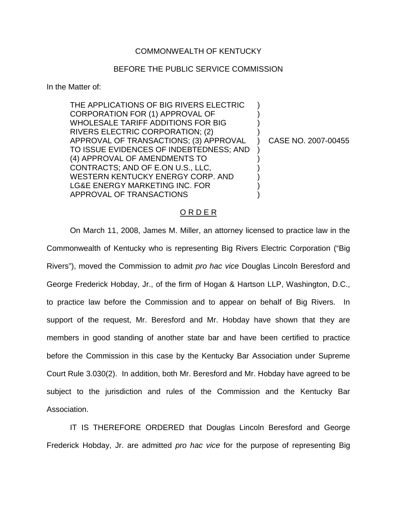## COMMONWEALTH OF KENTUCKY

## BEFORE THE PUBLIC SERVICE COMMISSION

In the Matter of:

THE APPLICATIONS OF BIG RIVERS ELECTRIC CORPORATION FOR (1) APPROVAL OF WHOLESALE TARIFF ADDITIONS FOR BIG RIVERS ELECTRIC CORPORATION; (2) APPROVAL OF TRANSACTIONS; (3) APPROVAL TO ISSUE EVIDENCES OF INDEBTEDNESS; AND (4) APPROVAL OF AMENDMENTS TO CONTRACTS; AND OF E.ON U.S., LLC, WESTERN KENTUCKY ENERGY CORP. AND LG&E ENERGY MARKETING INC. FOR APPROVAL OF TRANSACTIONS ) ) ) ) ) ) ) ) ) )

) CASE NO. 2007-00455

## O R D E R

On March 11, 2008, James M. Miller, an attorney licensed to practice law in the Commonwealth of Kentucky who is representing Big Rivers Electric Corporation ("Big Rivers"), moved the Commission to admit *pro hac vice* Douglas Lincoln Beresford and George Frederick Hobday, Jr., of the firm of Hogan & Hartson LLP, Washington, D.C., to practice law before the Commission and to appear on behalf of Big Rivers. In support of the request, Mr. Beresford and Mr. Hobday have shown that they are members in good standing of another state bar and have been certified to practice before the Commission in this case by the Kentucky Bar Association under Supreme Court Rule 3.030(2). In addition, both Mr. Beresford and Mr. Hobday have agreed to be subject to the jurisdiction and rules of the Commission and the Kentucky Bar Association.

IT IS THEREFORE ORDERED that Douglas Lincoln Beresford and George Frederick Hobday, Jr. are admitted *pro hac vice* for the purpose of representing Big